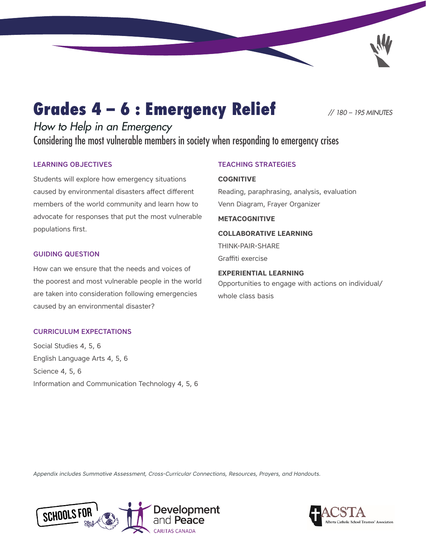# Grades 4 – 6 : Emergency Relief *// 180 – 195 MINUTES*

*How to Help in an Emergency* Considering the most vulnerable members in society when responding to emergency crises

#### LEARNING OBJECTIVES

Students will explore how emergency situations caused by environmental disasters affect different members of the world community and learn how to advocate for responses that put the most vulnerable populations first.

#### GUIDING QUESTION

How can we ensure that the needs and voices of the poorest and most vulnerable people in the world are taken into consideration following emergencies caused by an environmental disaster?

#### CURRICULUM EXPECTATIONS

Social Studies 4, 5, 6 English Language Arts 4, 5, 6 Science 4, 5, 6 Information and Communication Technology 4, 5, 6

#### TEACHING STRATEGIES

#### **COGNITIVE**

Reading, paraphrasing, analysis, evaluation Venn Diagram, Frayer Organizer

#### **METACOGNITIVE**

#### **COLLABORATIVE LEARNING**

THINK-PAIR-SHARE Graffiti exercise

#### **EXPERIENTIAL LEARNING**

Opportunities to engage with actions on individual/ whole class basis

*[Appendix includes](#page-12-0) [Summative Assessment,](#page-14-0) Cross-Curricular Connections, [Resources, Prayers](#page-18-0), and [Handouts.](#page-22-0)*



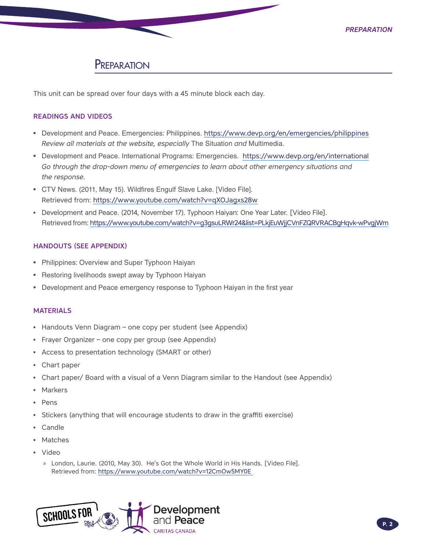# **PREPARATION**

This unit can be spread over four days with a 45 minute block each day.

#### READINGS AND VIDEOS

- Development and Peace. Emergencies: Philippines. <https://www.devp.org/en/emergencies/philippines> *Review all materials at the website, especially* The Situation *and* Multimedia.
- Development and Peace. International Programs: Emergencies. <https://www.devp.org/en/international> *Go through the drop-down menu of emergencies to learn about other emergency situations and the response.*
- CTV News. (2011, May 15). Wildfires Engulf Slave Lake. [Video File]. Retrieved from:<https://www.youtube.com/watch?v=qXOJagxs28w>
- Development and Peace. (2014, November 17). Typhoon Haiyan: One Year Later. [Video File]. Retrieved from:<https://www.youtube.com/watch?v=g3gsuLRWr24&list=PLkjEuWjjCVnFZQRVRACBgHqvk-wPvgjWm>

#### HANDOUTS (SEE APPENDIX)

- Philippines: Overview and Super Typhoon Haiyan
- Restoring livelihoods swept away by Typhoon Haiyan
- Development and Peace emergency response to Typhoon Haiyan in the first year

#### **MATERIALS**

- Handouts Venn Diagram one copy per student (see Appendix)
- Frayer Organizer one copy per group (see Appendix)
- Access to presentation technology (SMART or other)
- Chart paper
- Chart paper/ Board with a visual of a Venn Diagram similar to the Handout (see Appendix)
- **Markers**
- Pens
- Stickers (anything that will encourage students to draw in the graffiti exercise)
- Candle
- **Matches**
- Video
	- » London, Laurie. (2010, May 30). He's Got the Whole World in His Hands. [Video File]. Retrieved from:<https://www.youtube.com/watch?v=12CmOw5MY0E>

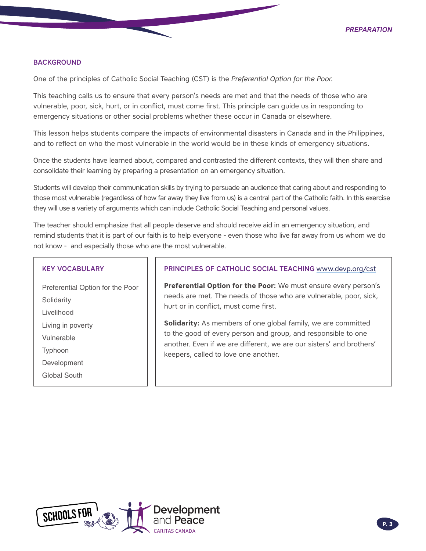#### **BACKGROUND**

One of the principles of Catholic Social Teaching (CST) is the *Preferential Option for the Poor*.

This teaching calls us to ensure that every person's needs are met and that the needs of those who are vulnerable, poor, sick, hurt, or in conflict, must come first. This principle can guide us in responding to emergency situations or other social problems whether these occur in Canada or elsewhere.

This lesson helps students compare the impacts of environmental disasters in Canada and in the Philippines, and to reflect on who the most vulnerable in the world would be in these kinds of emergency situations.

Once the students have learned about, compared and contrasted the different contexts, they will then share and consolidate their learning by preparing a presentation on an emergency situation.

Students will develop their communication skills by trying to persuade an audience that caring about and responding to those most vulnerable (regardless of how far away they live from us) is a central part of the Catholic faith. In this exercise they will use a variety of arguments which can include Catholic Social Teaching and personal values.

The teacher should emphasize that all people deserve and should receive aid in an emergency situation, and remind students that it is part of our faith is to help everyone - even those who live far away from us whom we do not know - and especially those who are the most vulnerable.

#### KEY VOCABULARY

Preferential Option for the Poor **Solidarity** Livelihood Living in poverty Vulnerable Typhoon Development Global South

#### PRINCIPLES OF CATHOLIC SOCIAL TEACHING [www.devp.org/cst](http://www.devp.org/cst)

**Preferential Option for the Poor:** We must ensure every person's needs are met. The needs of those who are vulnerable, poor, sick, hurt or in conflict, must come first.

**Solidarity:** As members of one global family, we are committed to the good of every person and group, and responsible to one another. Even if we are different, we are our sisters' and brothers' keepers, called to love one another.

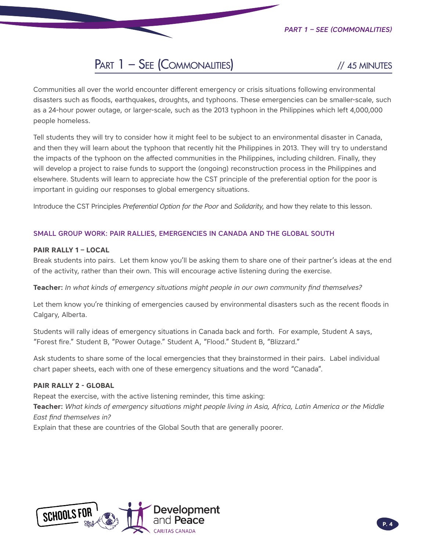# PART 1 – SEE (COMMONALITIES) // 45 MINUTES

Communities all over the world encounter different emergency or crisis situations following environmental disasters such as floods, earthquakes, droughts, and typhoons. These emergencies can be smaller-scale, such as a 24-hour power outage, or larger-scale, such as the 2013 typhoon in the Philippines which left 4,000,000 people homeless.

Tell students they will try to consider how it might feel to be subject to an environmental disaster in Canada, and then they will learn about the typhoon that recently hit the Philippines in 2013. They will try to understand the impacts of the typhoon on the affected communities in the Philippines, including children. Finally, they will develop a project to raise funds to support the (ongoing) reconstruction process in the Philippines and elsewhere. Students will learn to appreciate how the CST principle of the preferential option for the poor is important in guiding our responses to global emergency situations.

Introduce the CST Principles *Preferential Option for the Poor* and *Solidarity*, and how they relate to this lesson.

#### SMALL GROUP WORK: PAIR RALLIES, EMERGENCIES IN CANADA AND THE GLOBAL SOUTH

#### **PAIR RALLY 1 – LOCAL**

Break students into pairs. Let them know you'll be asking them to share one of their partner's ideas at the end of the activity, rather than their own. This will encourage active listening during the exercise.

**Teacher:** *In what kinds of emergency situations might people in our own community find themselves?* 

Let them know you're thinking of emergencies caused by environmental disasters such as the recent floods in Calgary, Alberta.

Students will rally ideas of emergency situations in Canada back and forth. For example, Student A says, "Forest fire." Student B, "Power Outage." Student A, "Flood." Student B, "Blizzard."

Ask students to share some of the local emergencies that they brainstormed in their pairs. Label individual chart paper sheets, each with one of these emergency situations and the word "Canada".

#### **PAIR RALLY 2 - GLOBAL**

Repeat the exercise, with the active listening reminder, this time asking: **Teacher:** *What kinds of emergency situations might people living in Asia, Africa, Latin America or the Middle East find themselves in?* 

Explain that these are countries of the Global South that are generally poorer.

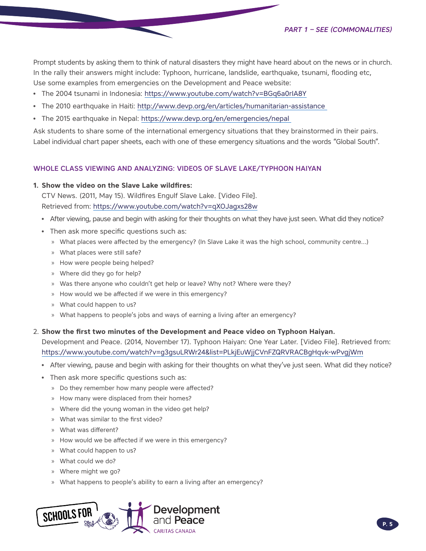Prompt students by asking them to think of natural disasters they might have heard about on the news or in church. In the rally their answers might include: Typhoon, hurricane, landslide, earthquake, tsunami, flooding etc, Use some examples from emergencies on the Development and Peace website:

- The 2004 tsunami in Indonesia: https://www.youtube.com/watch?v=BGq6a0rIA8Y
- The 2010 earthquake in Haiti: [http://www.devp.org/en/articles/humanitarian-](http://www.devp.org/en/articles/humanitarian)assistance
- The 2015 earthquake in Nepal:<https://www.devp.org/en/emergencies/nepal>

Ask students to share some of the international emergency situations that they brainstormed in their pairs. Label individual chart paper sheets, each with one of these emergency situations and the words "Global South".

#### WHOLE CLASS VIEWING AND ANALYZING: VIDEOS OF SLAVE LAKE/TYPHOON HAIYAN

#### **1. Show the video on the Slave Lake wildfires:**

CTV News. (2011, May 15). Wildfires Engulf Slave Lake. [Video File]. Retrieved from:<https://www.youtube.com/watch?v=qXOJagxs28w>

- After viewing, pause and begin with asking for their thoughts on what they have just seen. What did they notice?
- Then ask more specific questions such as:
	- » What places were affected by the emergency? (In Slave Lake it was the high school, community centre…)
	- » What places were still safe?
	- » How were people being helped?
	- » Where did they go for help?
	- » Was there anyone who couldn't get help or leave? Why not? Where were they?
	- » How would we be affected if we were in this emergency?
	- » What could happen to us?
	- » What happens to people's jobs and ways of earning a living after an emergency?

#### 2. **Show the first two minutes of the Development and Peace video on Typhoon Haiyan.**

Development and Peace. (2014, November 17). Typhoon Haiyan: One Year Later. [Video File]. Retrieved from: <https://www.youtube.com/watch?v=g3gsuLRWr24&list=PLkjEuWjjCVnFZQRVRACBgHqvk-wPvgjWm>

- After viewing, pause and begin with asking for their thoughts on what they've just seen. What did they notice?
- Then ask more specific questions such as:
	- » Do they remember how many people were affected?
	- » How many were displaced from their homes?
	- » Where did the young woman in the video get help?
	- » What was similar to the first video?
	- » What was different?
	- » How would we be affected if we were in this emergency?
	- » What could happen to us?
	- » What could we do?
	- » Where might we go?
	- » What happens to people's ability to earn a living after an emergency?

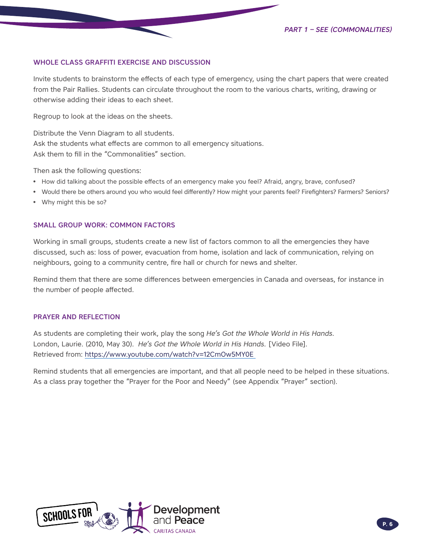#### WHOLE CLASS GRAFFITI EXERCISE AND DISCUSSION

Invite students to brainstorm the effects of each type of emergency, using the chart papers that were created from the Pair Rallies. Students can circulate throughout the room to the various charts, writing, drawing or otherwise adding their ideas to each sheet.

Regroup to look at the ideas on the sheets.

Distribute the Venn Diagram to all students. Ask the students what effects are common to all emergency situations. Ask them to fill in the "Commonalities" section.

Then ask the following questions:

- How did talking about the possible effects of an emergency make you feel? Afraid, angry, brave, confused?
- Would there be others around you who would feel differently? How might your parents feel? Firefighters? Farmers? Seniors?
- Why might this be so?

#### SMALL GROUP WORK: COMMON FACTORS

Working in small groups, students create a new list of factors common to all the emergencies they have discussed, such as: loss of power, evacuation from home, isolation and lack of communication, relying on neighbours, going to a community centre, fire hall or church for news and shelter.

Remind them that there are some differences between emergencies in Canada and overseas, for instance in the number of people affected.

#### PRAYER AND REFLECTION

As students are completing their work, play the song *He's Got the Whole World in His Hands.* London, Laurie. (2010, May 30). *He's Got the Whole World in His Hands.* [Video File]. Retrieved from:<https://www.youtube.com/watch?v=12CmOw5MY0E>

Remind students that all emergencies are important, and that all people need to be helped in these situations. As a class pray together the "Prayer for the Poor and Needy" (see Appendix "Prayer" section).

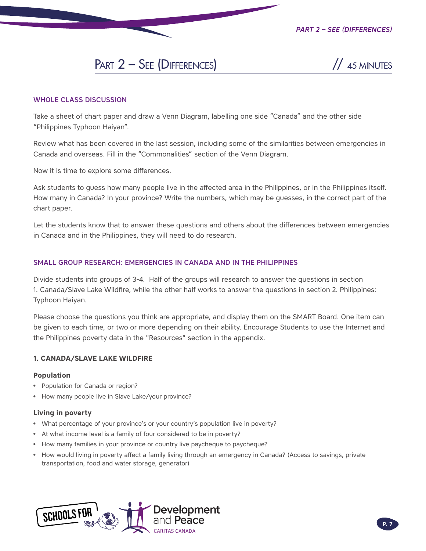# PART  $2 -$ SEE (DIFFERENCES)  $\frac{1}{45}$  MINUTES



#### WHOLE CLASS DISCUSSION

Take a sheet of chart paper and draw a Venn Diagram, labelling one side "Canada" and the other side "Philippines Typhoon Haiyan".

Review what has been covered in the last session, including some of the similarities between emergencies in Canada and overseas. Fill in the "Commonalities" section of the Venn Diagram.

Now it is time to explore some differences.

Ask students to guess how many people live in the affected area in the Philippines, or in the Philippines itself. How many in Canada? In your province? Write the numbers, which may be guesses, in the correct part of the chart paper.

Let the students know that to answer these questions and others about the differences between emergencies in Canada and in the Philippines, they will need to do research.

#### SMALL GROUP RESEARCH: EMERGENCIES IN CANADA AND IN THE PHILIPPINES

Divide students into groups of 3-4. Half of the groups will research to answer the questions in section 1. Canada/Slave Lake Wildfire, while the other half works to answer the questions in section 2. Philippines: Typhoon Haiyan.

Please choose the questions you think are appropriate, and display them on the SMART Board. One item can be given to each time, or two or more depending on their ability. Encourage Students to use the Internet and the Philippines poverty data in the "Resources" section in the appendix.

#### **1. CANADA/SLAVE LAKE WILDFIRE**

#### **Population**

- Population for Canada or region?
- How many people live in Slave Lake/your province?

#### **Living in poverty**

- What percentage of your province's or your country's population live in poverty?
- At what income level is a family of four considered to be in poverty?
- How many families in your province or country live paycheque to paycheque?
- How would living in poverty affect a family living through an emergency in Canada? (Access to savings, private transportation, food and water storage, generator)

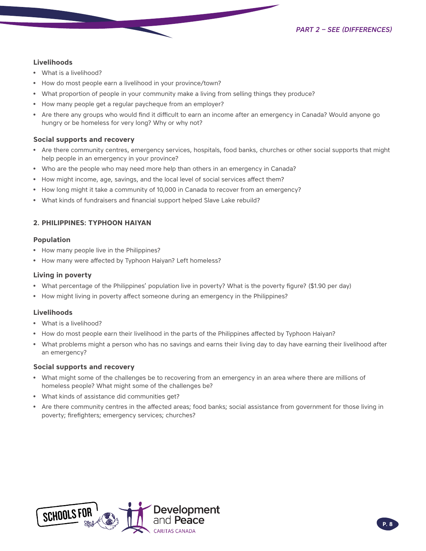#### **Livelihoods**

- What is a livelihood?
- How do most people earn a livelihood in your province/town?
- What proportion of people in your community make a living from selling things they produce?
- How many people get a regular paycheque from an employer?
- Are there any groups who would find it difficult to earn an income after an emergency in Canada? Would anyone go hungry or be homeless for very long? Why or why not?

#### **Social supports and recovery**

- Are there community centres, emergency services, hospitals, food banks, churches or other social supports that might help people in an emergency in your province?
- Who are the people who may need more help than others in an emergency in Canada?
- How might income, age, savings, and the local level of social services affect them?
- How long might it take a community of 10,000 in Canada to recover from an emergency?
- What kinds of fundraisers and financial support helped Slave Lake rebuild?

#### **2. PHILIPPINES: TYPHOON HAIYAN**

#### **Population**

- How many people live in the Philippines?
- How many were affected by Typhoon Haiyan? Left homeless?

#### **Living in poverty**

- What percentage of the Philippines' population live in poverty? What is the poverty figure? (\$1.90 per day)
- How might living in poverty affect someone during an emergency in the Philippines?

#### **Livelihoods**

- What is a livelihood?
- How do most people earn their livelihood in the parts of the Philippines affected by Typhoon Haiyan?
- What problems might a person who has no savings and earns their living day to day have earning their livelihood after an emergency?

#### **Social supports and recovery**

- What might some of the challenges be to recovering from an emergency in an area where there are millions of homeless people? What might some of the challenges be?
- What kinds of assistance did communities get?
- Are there community centres in the affected areas; food banks; social assistance from government for those living in poverty; firefighters; emergency services; churches?

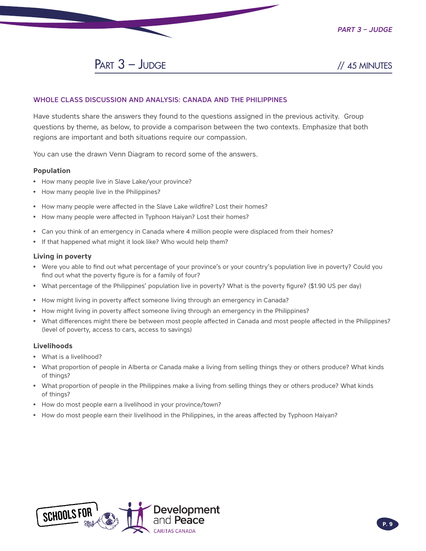*Part 3 – Judge*

 $PART 3 - JUDGE$  // 45 MINUTES

#### WHOLE CLASS DISCUSSION AND ANALYSIS: CANADA AND THE PHILIPPINES

Have students share the answers they found to the questions assigned in the previous activity. Group questions by theme, as below, to provide a comparison between the two contexts. Emphasize that both regions are important and both situations require our compassion.

You can use the drawn Venn Diagram to record some of the answers.

#### **Population**

- How many people live in Slave Lake/your province?
- How many people live in the Philippines?
- How many people were affected in the Slave Lake wildfire? Lost their homes?
- How many people were affected in Typhoon Haiyan? Lost their homes?
- Can you think of an emergency in Canada where 4 million people were displaced from their homes?
- If that happened what might it look like? Who would help them?

#### **Living in poverty**

- Were you able to find out what percentage of your province's or your country's population live in poverty? Could you find out what the poverty figure is for a family of four?
- What percentage of the Philippines' population live in poverty? What is the poverty figure? (\$1.90 US per day)
- How might living in poverty affect someone living through an emergency in Canada?
- How might living in poverty affect someone living through an emergency in the Philippines?
- What differences might there be between most people affected in Canada and most people affected in the Philippines? (level of poverty, access to cars, access to savings)

#### **Livelihoods**

- What is a livelihood?
- What proportion of people in Alberta or Canada make a living from selling things they or others produce? What kinds of things?
- What proportion of people in the Philippines make a living from selling things they or others produce? What kinds of things?
- How do most people earn a livelihood in your province/town?
- How do most people earn their livelihood in the Philippines, in the areas affected by Typhoon Haiyan?

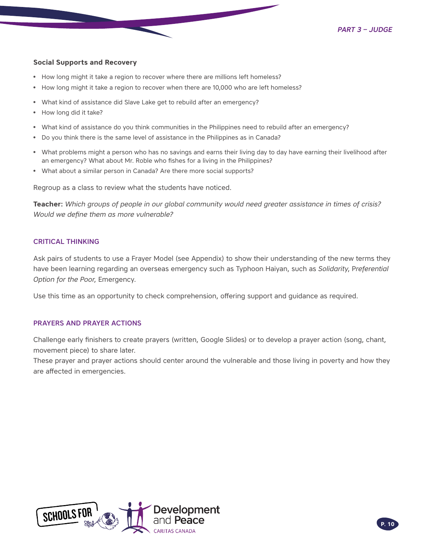#### **Social Supports and Recovery**

- How long might it take a region to recover where there are millions left homeless?
- How long might it take a region to recover when there are 10,000 who are left homeless?
- What kind of assistance did Slave Lake get to rebuild after an emergency?
- How long did it take?
- What kind of assistance do you think communities in the Philippines need to rebuild after an emergency?
- Do you think there is the same level of assistance in the Philippines as in Canada?
- What problems might a person who has no savings and earns their living day to day have earning their livelihood after an emergency? What about Mr. Roble who fishes for a living in the Philippines?
- What about a similar person in Canada? Are there more social supports?

Regroup as a class to review what the students have noticed.

**Teacher:** *Which groups of people in our global community would need greater assistance in times of crisis? Would we define them as more vulnerable?*

#### CRITICAL THINKING

Ask pairs of students to use a [Frayer Model \(see Appendix\)](#page-13-0) to show their understanding of the new terms they have been learning regarding an overseas emergency such as Typhoon Haiyan, such as *Solidarity*, P*referential Option for the Poor*, Emergency.

Use this time as an opportunity to check comprehension, offering support and guidance as required.

#### PRAYERS AND PRAYER ACTIONS

Challenge early finishers to create prayers (written, Google Slides) or to develop a prayer action (song, chant, movement piece) to share later.

These prayer and prayer actions should center around the vulnerable and those living in poverty and how they are affected in emergencies.

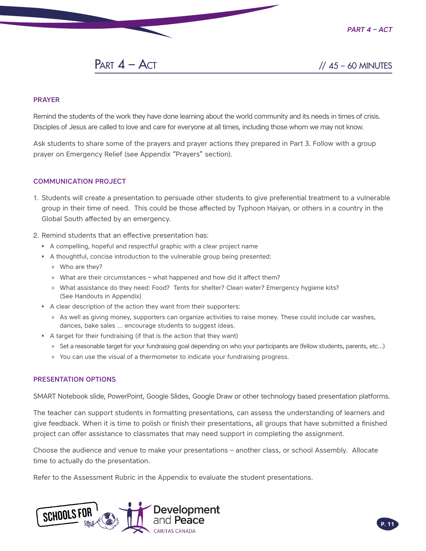*Part 4 – Act*

# PART  $4 - ACT$  //  $45 - 60$  MINUTES

#### PRAYER

Remind the students of the work they have done learning about the world community and its needs in times of crisis. Disciples of Jesus are called to love and care for everyone at all times, including those whom we may not know.

Ask students to share some of the prayers and prayer actions they prepared in Part 3. Follow with a group prayer on Emergency Relief (see Appendix "Prayers" section).

#### COMMUNICATION PROJECT

- 1. Students will create a presentation to persuade other students to give preferential treatment to a vulnerable group in their time of need. This could be those affected by Typhoon Haiyan, or others in a country in the Global South affected by an emergency.
- 2. Remind students that an effective presentation has:
	- A compelling, hopeful and respectful graphic with a clear project name
	- A thoughtful, concise introduction to the vulnerable group being presented:
		- » Who are they?
		- » What are their circumstances what happened and how did it affect them?
		- » What assistance do they need: Food? Tents for shelter? Clean water? Emergency hygiene kits? (See Handouts in Appendix)
	- A clear description of the action they want from their supporters:
		- » As well as giving money, supporters can organize activities to raise money. These could include car washes, dances, bake sales … encourage students to suggest ideas.
	- A target for their fundraising (if that is the action that they want)
		- » Set a reasonable target for your fundraising goal depending on who your participants are (fellow students, parents, etc…)
		- » You can use the visual of a thermometer to indicate your fundraising progress.

#### PRESENTATION OPTIONS

SMART Notebook slide, PowerPoint, Google Slides, Google Draw or other technology based presentation platforms.

The teacher can support students in formatting presentations, can assess the understanding of learners and give feedback. When it is time to polish or finish their presentations, all groups that have submitted a finished project can offer assistance to classmates that may need support in completing the assignment.

Choose the audience and venue to make your presentations – another class, or school Assembly. Allocate time to actually do the presentation.

Refer to the Assessment Rubric in the Appendix to evaluate the student presentations.

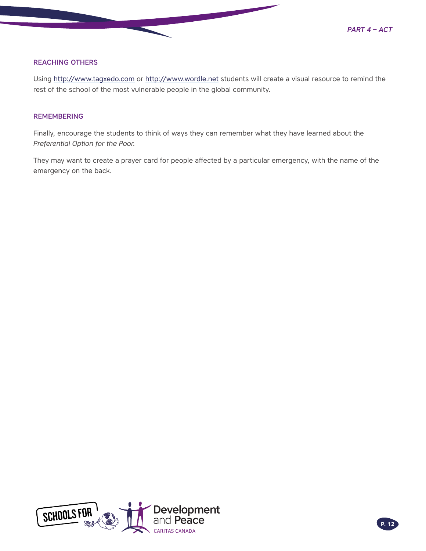

#### REACHING OTHERS

Using<http://www.tagxedo.com>or<http://www.wordle.net> students will create a visual resource to remind the rest of the school of the most vulnerable people in the global community.

#### **REMEMBERING**

Finally, encourage the students to think of ways they can remember what they have learned about the *Preferential Option for the Poor.*

They may want to create a prayer card for people affected by a particular emergency, with the name of the emergency on the back.

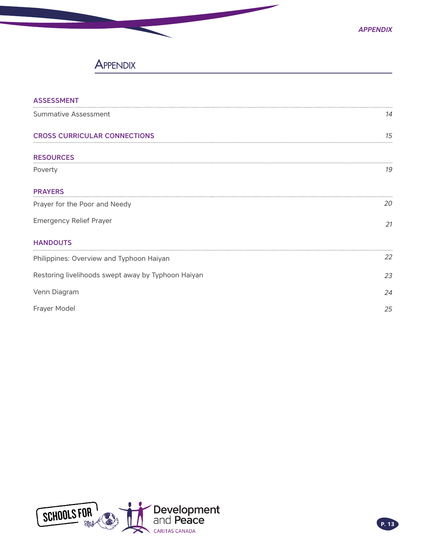# **APPENDIX**

<span id="page-12-0"></span>

| <b>ASSESSMENT</b>                                  |    |  |  |
|----------------------------------------------------|----|--|--|
| Summative Assessment                               | 14 |  |  |
| <b>CROSS CURRICULAR CONNECTIONS</b>                | 15 |  |  |
| <b>RESOURCES</b>                                   |    |  |  |
| Poverty                                            | 19 |  |  |
| <b>PRAYERS</b>                                     |    |  |  |
| Prayer for the Poor and Needy                      | 20 |  |  |
| <b>Emergency Relief Prayer</b>                     | 21 |  |  |
| <b>HANDOUTS</b>                                    |    |  |  |
| Philippines: Overview and Typhoon Haiyan           | 22 |  |  |
| Restoring livelihoods swept away by Typhoon Haiyan | 23 |  |  |
| Venn Diagram                                       | 24 |  |  |
| Frayer Model                                       | 25 |  |  |

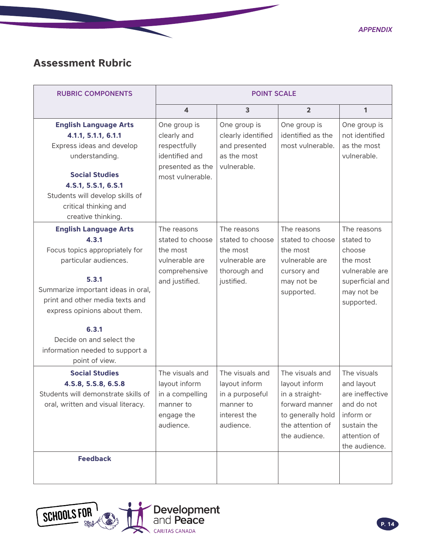*Appendix*

# <span id="page-13-0"></span>**Assessment Rubric**

| <b>RUBRIC COMPONENTS</b>                                                                                                                                                                                                                                                                                     | <b>POINT SCALE</b>                                                                                    |                                                                                               |                                                                                                                                |                                                                                                                         |
|--------------------------------------------------------------------------------------------------------------------------------------------------------------------------------------------------------------------------------------------------------------------------------------------------------------|-------------------------------------------------------------------------------------------------------|-----------------------------------------------------------------------------------------------|--------------------------------------------------------------------------------------------------------------------------------|-------------------------------------------------------------------------------------------------------------------------|
|                                                                                                                                                                                                                                                                                                              | $\overline{\mathbf{4}}$                                                                               | $\mathbf{3}$                                                                                  | $\overline{2}$                                                                                                                 | 1                                                                                                                       |
| <b>English Language Arts</b><br>4.1.1, 5.1.1, 6.1.1<br>Express ideas and develop<br>understanding.<br><b>Social Studies</b><br>4.S.1, 5.S.1, 6.S.1<br>Students will develop skills of<br>critical thinking and<br>creative thinking.                                                                         | One group is<br>clearly and<br>respectfully<br>identified and<br>presented as the<br>most vulnerable. | One group is<br>clearly identified<br>and presented<br>as the most<br>vulnerable.             | One group is<br>identified as the<br>most vulnerable.                                                                          | One group is<br>not identified<br>as the most<br>vulnerable.                                                            |
| <b>English Language Arts</b><br>4.3.1<br>Focus topics appropriately for<br>particular audiences.<br>5.3.1<br>Summarize important ideas in oral,<br>print and other media texts and<br>express opinions about them.<br>6.3.1<br>Decide on and select the<br>information needed to support a<br>point of view. | The reasons<br>stated to choose<br>the most<br>vulnerable are<br>comprehensive<br>and justified.      | The reasons<br>stated to choose<br>the most<br>vulnerable are<br>thorough and<br>justified.   | The reasons<br>stated to choose<br>the most<br>vulnerable are<br>cursory and<br>may not be<br>supported.                       | The reasons<br>stated to<br>choose<br>the most<br>vulnerable are<br>superficial and<br>may not be<br>supported.         |
| <b>Social Studies</b><br>4.S.8, 5.S.8, 6.S.8<br>Students will demonstrate skills of<br>oral, written and visual literacy.                                                                                                                                                                                    | The visuals and<br>layout inform<br>in a compelling<br>manner to<br>engage the<br>audience.           | The visuals and<br>layout inform<br>in a purposeful<br>manner to<br>interest the<br>audience. | The visuals and<br>layout inform<br>in a straight-<br>forward manner<br>to generally hold<br>the attention of<br>the audience. | The visuals<br>and layout<br>are ineffective<br>and do not<br>inform or<br>sustain the<br>attention of<br>the audience. |
| <b>Feedback</b>                                                                                                                                                                                                                                                                                              |                                                                                                       |                                                                                               |                                                                                                                                |                                                                                                                         |

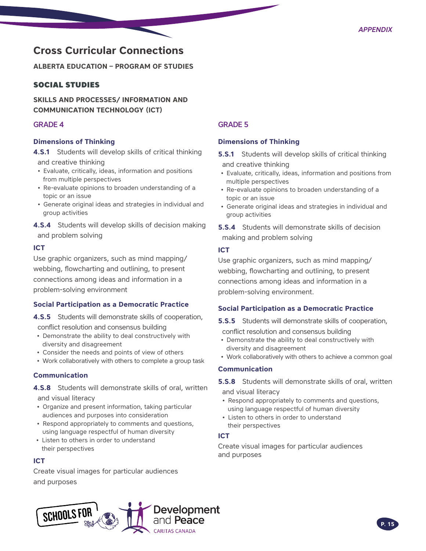# <span id="page-14-0"></span>**Cross Curricular Connections**

**ALBERTA EDUCATION – PROGRAM OF STUDIES** 

#### SOCIAL STUDIES

**SKILLS AND PROCESSES/ INFORMATION AND COMMUNICATION TECHNOLOGY (ICT)** 

#### GRADE 4

#### **Dimensions of Thinking**

**4.S.1** Students will develop skills of critical thinking

and creative thinking

- Evaluate, critically, ideas, information and positions from multiple perspectives
- Re-evaluate opinions to broaden understanding of a topic or an issue
- Generate original ideas and strategies in individual and group activities
- **4.S.4** Students will develop skills of decision making and problem solving

#### **ICT**

Use graphic organizers, such as mind mapping/ webbing, flowcharting and outlining, to present connections among ideas and information in a problem-solving environment

#### **Social Participation as a Democratic Practice**

- **4.S.5** Students will demonstrate skills of cooperation, conflict resolution and consensus building
- Demonstrate the ability to deal constructively with diversity and disagreement
- Consider the needs and points of view of others
- Work collaboratively with others to complete a group task

#### **Communication**

**4.S.8** Students will demonstrate skills of oral, written

and visual literacy

- Organize and present information, taking particular audiences and purposes into consideration
- Respond appropriately to comments and questions, using language respectful of human diversity
- Listen to others in order to understand their perspectives

#### **ICT**

Create visual images for particular audiences and purposes

### GRADE 5

#### **Dimensions of Thinking**

- **5.S.1** Students will develop skills of critical thinking and creative thinking
- Evaluate, critically, ideas, information and positions from multiple perspectives
- Re-evaluate opinions to broaden understanding of a topic or an issue
- Generate original ideas and strategies in individual and group activities

**5.S.4** Students will demonstrate skills of decision making and problem solving

#### **ICT**

Use graphic organizers, such as mind mapping/ webbing, flowcharting and outlining, to present connections among ideas and information in a problem-solving environment.

#### **Social Participation as a Democratic Practice**

**5.S.5** Students will demonstrate skills of cooperation, conflict resolution and consensus building

- Demonstrate the ability to deal constructively with diversity and disagreement
- Work collaboratively with others to achieve a common goal

#### **Communication**

**5.S.8** Students will demonstrate skills of oral, written and visual literacy

• Respond appropriately to comments and questions,

- using language respectful of human diversity
- Listen to others in order to understand their perspectives

#### **ICT**

Create visual images for particular audiences and purposes

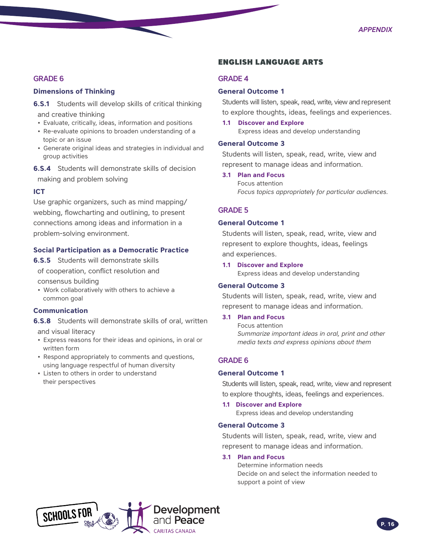#### GRADE 6

#### **Dimensions of Thinking**

**6.S.1** Students will develop skills of critical thinking and creative thinking

- Evaluate, critically, ideas, information and positions
- Re-evaluate opinions to broaden understanding of a topic or an issue
- Generate original ideas and strategies in individual and group activities

**6.S.4** Students will demonstrate skills of decision making and problem solving

#### **ICT**

Use graphic organizers, such as mind mapping/ webbing, flowcharting and outlining, to present connections among ideas and information in a problem-solving environment.

#### **Social Participation as a Democratic Practice**

**6.S.5** Students will demonstrate skills of cooperation, conflict resolution and

consensus building

• Work collaboratively with others to achieve a common goal

#### **Communication**

**6.S.8** Students will demonstrate skills of oral, written and visual literacy

- Express reasons for their ideas and opinions, in oral or written form
- Respond appropriately to comments and questions, using language respectful of human diversity
- Listen to others in order to understand their perspectives

#### ENGLISH LANGUAGE ARTS

#### GRADE 4

#### **General Outcome 1**

Students will listen, speak, read, write, view and represent to explore thoughts, ideas, feelings and experiences.

**1.1 Discover and Explore** Express ideas and develop understanding

#### **General Outcome 3**

Students will listen, speak, read, write, view and represent to manage ideas and information.

#### **3.1 Plan and Focus**

Focus attention *Focus topics appropriately for particular audiences.*

#### GRADE 5

#### **General Outcome 1**

Students will listen, speak, read, write, view and represent to explore thoughts, ideas, feelings and experiences.

**1.1 Discover and Explore**  Express ideas and develop understanding

#### **General Outcome 3**

Students will listen, speak, read, write, view and represent to manage ideas and information.

#### **3.1 Plan and Focus**

 Focus attention *Summarize important ideas in oral, print and other media texts and express opinions about them*

#### GRADE 6

#### **General Outcome 1**

Students will listen, speak, read, write, view and represent to explore thoughts, ideas, feelings and experiences.

#### **1.1 Discover and Explore**

Express ideas and develop understanding

#### **General Outcome 3**

Students will listen, speak, read, write, view and represent to manage ideas and information.

#### **3.1 Plan and Focus**

Determine information needs Decide on and select the information needed to support a point of view

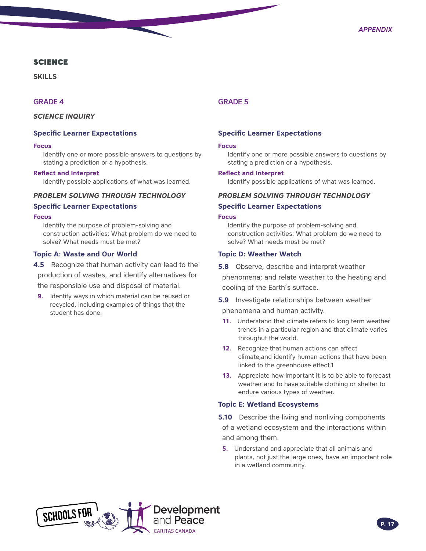#### **SCIENCE**

**SKILLS**

#### GRADE 4

*SCIENCE INQUIRY*

#### **Specific Learner Expectations**

#### **Focus**

Identify one or more possible answers to questions by stating a prediction or a hypothesis.

#### **Reflect and Interpret**

Identify possible applications of what was learned.

#### *PROBLEM SOLVING THROUGH TECHNOLOGY*

#### **Specific Learner Expectations**

#### **Focus**

Identify the purpose of problem-solving and construction activities: What problem do we need to solve? What needs must be met?

#### **Topic A: Waste and Our World**

- **4.5** Recognize that human activity can lead to the production of wastes, and identify alternatives for the responsible use and disposal of material.
- **9.** Identify ways in which material can be reused or recycled, including examples of things that the student has done.

#### GRADE 5

#### **Specific Learner Expectations**

#### **Focus**

Identify one or more possible answers to questions by stating a prediction or a hypothesis.

#### **Reflect and Interpret**

Identify possible applications of what was learned.

#### *PROBLEM SOLVING THROUGH TECHNOLOGY*

#### **Specific Learner Expectations**

#### **Focus**

Identify the purpose of problem-solving and construction activities: What problem do we need to solve? What needs must be met?

#### **Topic D: Weather Watch**

**5.8** Observe, describe and interpret weather phenomena; and relate weather to the heating and cooling of the Earth's surface.

- **5.9** Investigate relationships between weather phenomena and human activity.
- **11.** Understand that climate refers to long term weather trends in a particular region and that climate varies throughut the world.
- **12.** Recognize that human actions can affect climate,and identify human actions that have been linked to the greenhouse effect.1
- **13.** Appreciate how important it is to be able to forecast weather and to have suitable clothing or shelter to endure various types of weather.

#### **Topic E: Wetland Ecosystems**

**5.10** Describe the living and nonliving components of a wetland ecosystem and the interactions within and among them.

**5.** Understand and appreciate that all animals and plants, not just the large ones, have an important role in a wetland community.

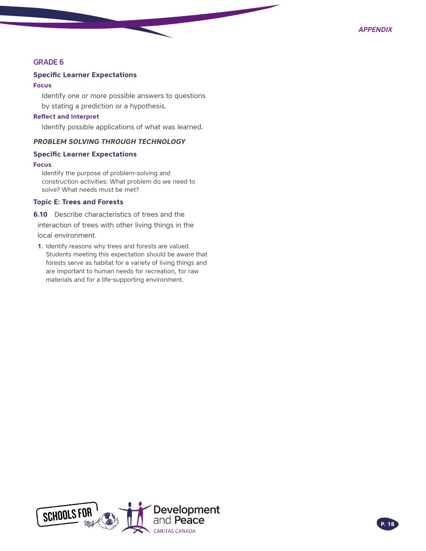#### GRADE 6

#### **Specific Learner Expectations**

#### **Focus**

Identify one or more possible answers to questions by stating a prediction or a hypothesis.

#### **Reflect and Interpret**

Identify possible applications of what was learned.

#### *PROBLEM SOLVING THROUGH TECHNOLOGY*

#### **Specific Learner Expectations**

#### **Focus**

Identify the purpose of problem-solving and construction activities: What problem do we need to solve? What needs must be met?

#### **Topic E: Trees and Forests**

**6.10** Describe characteristics of trees and the interaction of trees with other living things in the

local environment.

**1.** Identify reasons why trees and forests are valued. Students meeting this expectation should be aware that forests serve as habitat for a variety of living things and are important to human needs for recreation, for raw materials and for a life-supporting environment.

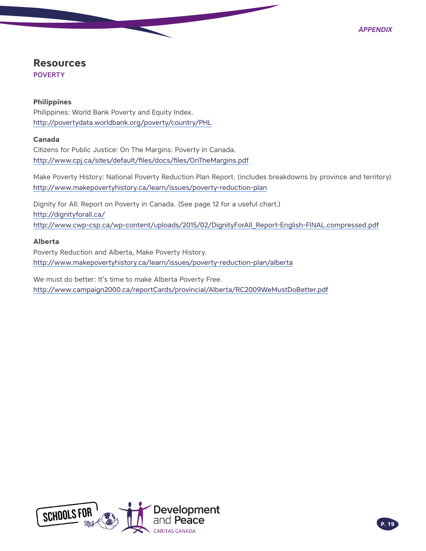# <span id="page-18-0"></span>**Resources**

POVERTY

#### **Philippines**

Philippines: World Bank Poverty and Equity Index. <http://povertydata.worldbank.org/poverty/country/PHL>

#### **Canada**

Citizens for Public Justice: On The Margins: Poverty in Canada. <http://www.cpj.ca/sites/default/files/docs/files/OnTheMargins.pdf>

Make Poverty History: National Poverty Reduction Plan Report. (includes breakdowns by province and territory) <http://www.makepovertyhistory.ca/learn/issues/poverty>-reduction-plan

Dignity for All: Report on Poverty in Canada. (See page 12 for a useful chart.) [http://dignityforall.ca/](http://dignityforall.ca) [http://www.cwp-csp.ca/wp-content/uploads/2015/02/DignityForAll\\_Report-English-FINAL.compressed.pdf](http://www.cwp-csp.ca/wp-content/uploads/2015/02/DignityForAll_Report-English-FINAL.compressed.pdf)

#### **Alberta**

Poverty Reduction and Alberta, Make Poverty History. <http://www.makepovertyhistory.ca/learn/issues/poverty-reduction-plan/alberta>

We must do better: It's time to make Alberta Poverty Free. <http://www.campaign2000.ca/reportCards/provincial/Alberta/RC2009WeMustDoBetter.pdf>

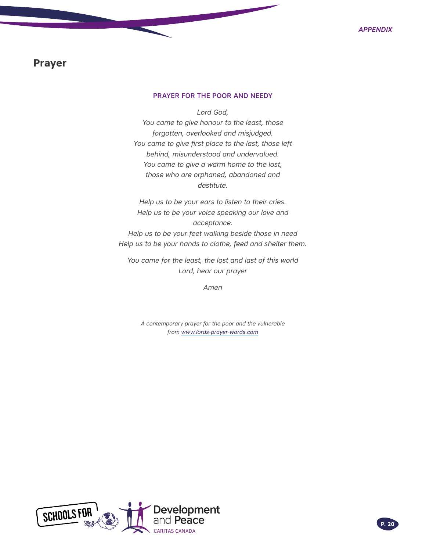### <span id="page-19-0"></span>**Prayer**

#### PRAYER FOR THE POOR AND NEEDY

*Lord God,*

*You came to give honour to the least, those forgotten, overlooked and misjudged. You came to give first place to the last, those left behind, misunderstood and undervalued. You came to give a warm home to the lost, those who are orphaned, abandoned and destitute.*

*Help us to be your ears to listen to their cries. Help us to be your voice speaking our love and acceptance.*

*Help us to be your feet walking beside those in need Help us to be your hands to clothe, feed and shelter them.*

*You came for the least, the lost and last of this world Lord, hear our prayer*

*Amen*

*A contemporary prayer for the poor and the vulnerable from [www.lords-prayer-words.com](http://www.lords-prayer-words.com)*

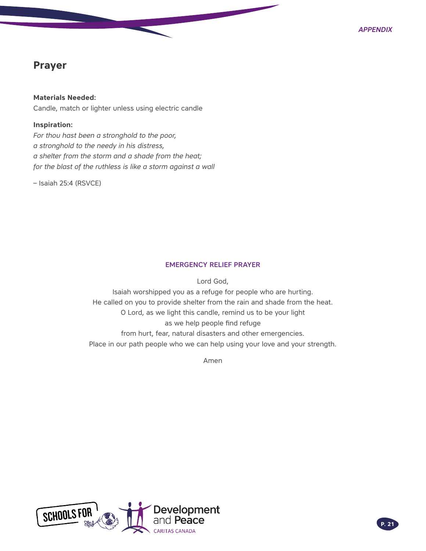# **Prayer**

**Materials Needed:**  Candle, match or lighter unless using electric candle

#### **Inspiration:**

*For thou hast been a stronghold to the poor, a stronghold to the needy in his distress, a shelter from the storm and a shade from the heat; for the blast of the ruthless is like a storm against a wall*

– Isaiah 25:4 (RSVCE)

#### EMERGENCY RELIEF PRAYER

Lord God,

Isaiah worshipped you as a refuge for people who are hurting. He called on you to provide shelter from the rain and shade from the heat. O Lord, as we light this candle, remind us to be your light as we help people find refuge from hurt, fear, natural disasters and other emergencies. Place in our path people who we can help using your love and your strength.

Amen

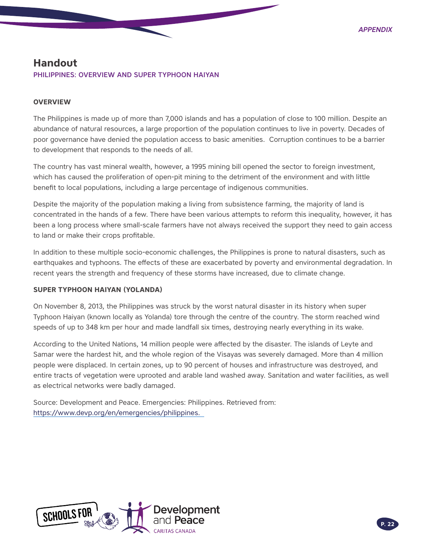### <span id="page-21-0"></span>**Handout**

#### PHILIPPINES: OVERVIEW AND SUPER TYPHOON HAIYAN

#### **OVERVIEW**

The Philippines is made up of more than 7,000 islands and has a population of close to 100 million. Despite an abundance of natural resources, a large proportion of the population continues to live in poverty. Decades of poor governance have denied the population access to basic amenities. Corruption continues to be a barrier to development that responds to the needs of all.

The country has vast mineral wealth, however, a 1995 mining bill opened the sector to foreign investment, which has caused the proliferation of open-pit mining to the detriment of the environment and with little benefit to local populations, including a large percentage of indigenous communities.

Despite the majority of the population making a living from subsistence farming, the majority of land is concentrated in the hands of a few. There have been various attempts to reform this inequality, however, it has been a long process where small-scale farmers have not always received the support they need to gain access to land or make their crops profitable.

In addition to these multiple socio-economic challenges, the Philippines is prone to natural disasters, such as earthquakes and typhoons. The effects of these are exacerbated by poverty and environmental degradation. In recent years the strength and frequency of these storms have increased, due to climate change.

#### **SUPER TYPHOON HAIYAN (YOLANDA)**

On November 8, 2013, the Philippines was struck by the worst natural disaster in its history when super Typhoon Haiyan (known locally as Yolanda) tore through the centre of the country. The storm reached wind speeds of up to 348 km per hour and made landfall six times, destroying nearly everything in its wake.

According to the United Nations, 14 million people were affected by the disaster. The islands of Leyte and Samar were the hardest hit, and the whole region of the Visayas was severely damaged. More than 4 million people were displaced. In certain zones, up to 90 percent of houses and infrastructure was destroyed, and entire tracts of vegetation were uprooted and arable land washed away. Sanitation and water facilities, as well as electrical networks were badly damaged.

Source: Development and Peace. Emergencies: Philippines. Retrieved from: [https://www.devp.org/en/emergencies/philippines.](https://www.devp.org/en/emergencies/philippines)

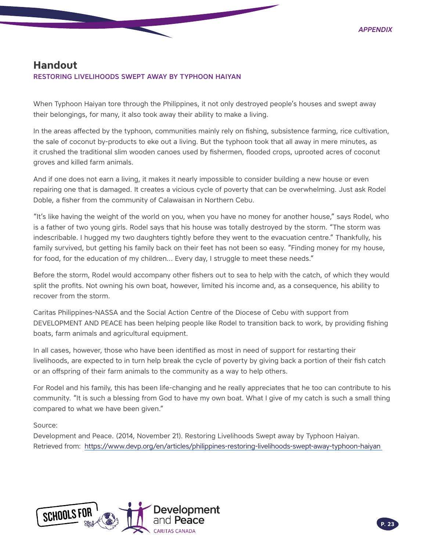## <span id="page-22-0"></span>**Handout**

#### RESTORING LIVELIHOODS SWEPT AWAY BY TYPHOON HAIYAN

When Typhoon Haiyan tore through the Philippines, it not only destroyed people's houses and swept away their belongings, for many, it also took away their ability to make a living.

In the areas affected by the typhoon, communities mainly rely on fishing, subsistence farming, rice cultivation, the sale of coconut by-products to eke out a living. But the typhoon took that all away in mere minutes, as it crushed the traditional slim wooden canoes used by fishermen, flooded crops, uprooted acres of coconut groves and killed farm animals.

And if one does not earn a living, it makes it nearly impossible to consider building a new house or even repairing one that is damaged. It creates a vicious cycle of poverty that can be overwhelming. Just ask Rodel Doble, a fisher from the community of Calawaisan in Northern Cebu.

"It's like having the weight of the world on you, when you have no money for another house," says Rodel, who is a father of two young girls. Rodel says that his house was totally destroyed by the storm. "The storm was indescribable. I hugged my two daughters tightly before they went to the evacuation centre." Thankfully, his family survived, but getting his family back on their feet has not been so easy. "Finding money for my house, for food, for the education of my children… Every day, I struggle to meet these needs."

Before the storm, Rodel would accompany other fishers out to sea to help with the catch, of which they would split the profits. Not owning his own boat, however, limited his income and, as a consequence, his ability to recover from the storm.

Caritas Philippines-NASSA and the Social Action Centre of the Diocese of Cebu with support from DEVELOPMENT AND PEACE has been helping people like Rodel to transition back to work, by providing fishing boats, farm animals and agricultural equipment.

In all cases, however, those who have been identified as most in need of support for restarting their livelihoods, are expected to in turn help break the cycle of poverty by giving back a portion of their fish catch or an offspring of their farm animals to the community as a way to help others.

For Rodel and his family, this has been life-changing and he really appreciates that he too can contribute to his community. "It is such a blessing from God to have my own boat. What I give of my catch is such a small thing compared to what we have been given."

#### Source:

Development and Peace. (2014, November 21). Restoring Livelihoods Swept away by Typhoon Haiyan. Retrieved from: <https://www.devp.org/en/articles/philippines>-restoring-livelihoods-swept-away-typhoon-haiyan

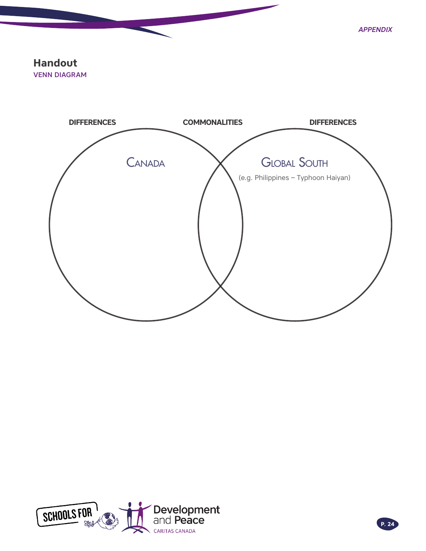*Appendix*

# <span id="page-23-0"></span>**Handout**

VENN DIAGRAM